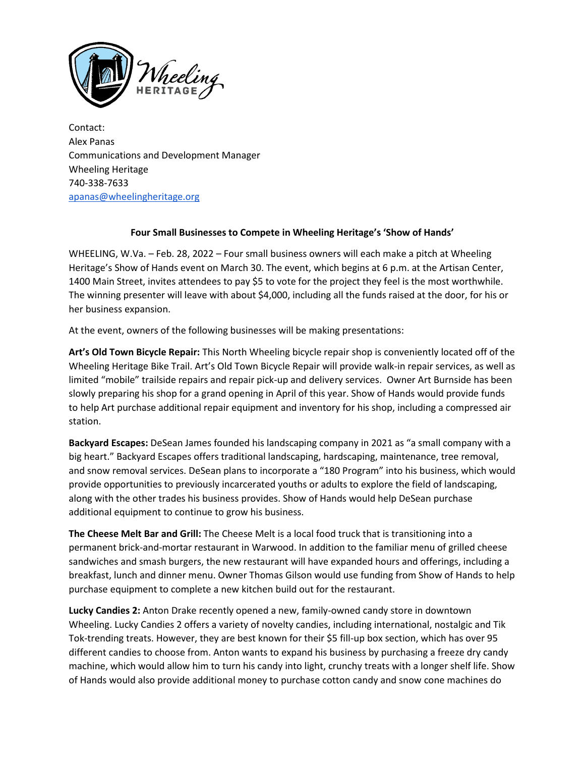

Contact: Alex Panas Communications and Development Manager Wheeling Heritage 740-338-7633 [apanas@wheelingheritage.org](mailto:apanas@wheelingheritage.org)

## **Four Small Businesses to Compete in Wheeling Heritage's 'Show of Hands'**

WHEELING, W.Va. – Feb. 28, 2022 – Four small business owners will each make a pitch at Wheeling Heritage's Show of Hands event on March 30. The event, which begins at 6 p.m. at the Artisan Center, 1400 Main Street, invites attendees to pay \$5 to vote for the project they feel is the most worthwhile. The winning presenter will leave with about \$4,000, including all the funds raised at the door, for his or her business expansion.

At the event, owners of the following businesses will be making presentations:

**Art's Old Town Bicycle Repair:** This North Wheeling bicycle repair shop is conveniently located off of the Wheeling Heritage Bike Trail. Art's Old Town Bicycle Repair will provide walk-in repair services, as well as limited "mobile" trailside repairs and repair pick-up and delivery services. Owner Art Burnside has been slowly preparing his shop for a grand opening in April of this year. Show of Hands would provide funds to help Art purchase additional repair equipment and inventory for his shop, including a compressed air station.

**Backyard Escapes:** DeSean James founded his landscaping company in 2021 as "a small company with a big heart." Backyard Escapes offers traditional landscaping, hardscaping, maintenance, tree removal, and snow removal services. DeSean plans to incorporate a "180 Program" into his business, which would provide opportunities to previously incarcerated youths or adults to explore the field of landscaping, along with the other trades his business provides. Show of Hands would help DeSean purchase additional equipment to continue to grow his business.

**The Cheese Melt Bar and Grill:** The Cheese Melt is a local food truck that is transitioning into a permanent brick-and-mortar restaurant in Warwood. In addition to the familiar menu of grilled cheese sandwiches and smash burgers, the new restaurant will have expanded hours and offerings, including a breakfast, lunch and dinner menu. Owner Thomas Gilson would use funding from Show of Hands to help purchase equipment to complete a new kitchen build out for the restaurant.

**Lucky Candies 2:** Anton Drake recently opened a new, family-owned candy store in downtown Wheeling. Lucky Candies 2 offers a variety of novelty candies, including international, nostalgic and Tik Tok-trending treats. However, they are best known for their \$5 fill-up box section, which has over 95 different candies to choose from. Anton wants to expand his business by purchasing a freeze dry candy machine, which would allow him to turn his candy into light, crunchy treats with a longer shelf life. Show of Hands would also provide additional money to purchase cotton candy and snow cone machines do